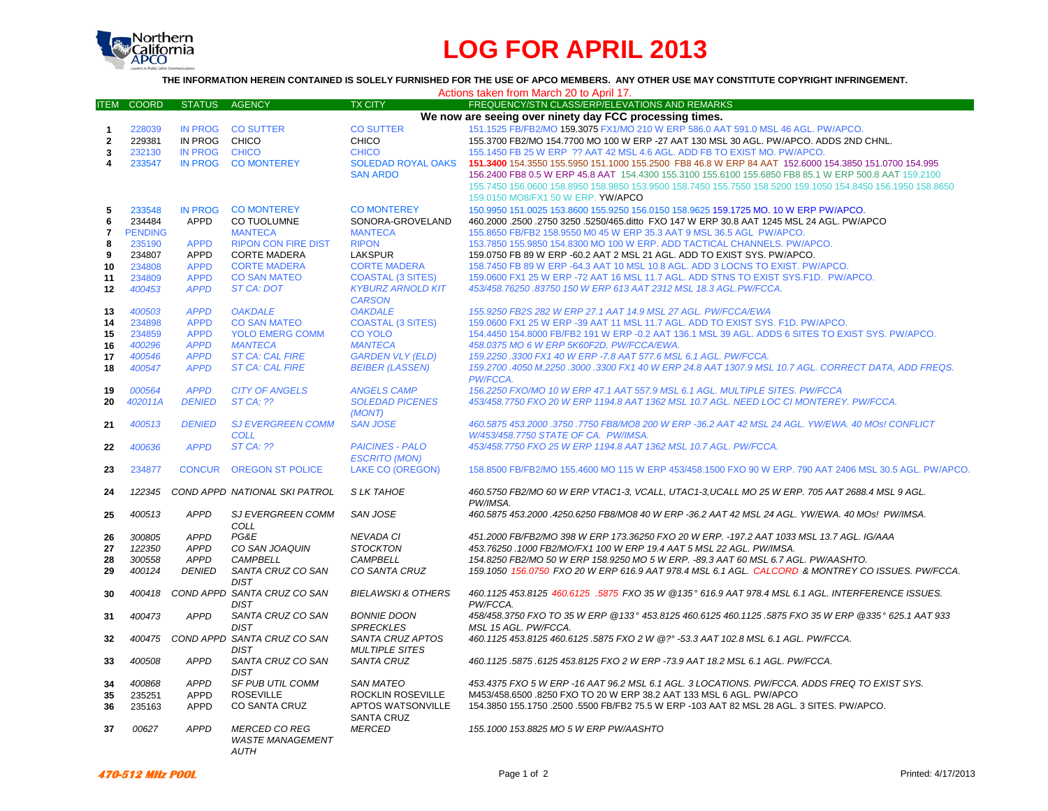

# **LOG FOR APRIL 2013**

## **THE INFORMATION HEREIN CONTAINED IS SOLELY FURNISHED FOR THE USE OF APCO MEMBERS. ANY OTHER USE MAY CONSTITUTE COPYRIGHT INFRINGEMENT.**

| Actions taken from March 20 to April 17.                |                   |                |                               |                                     |                                                                                                             |
|---------------------------------------------------------|-------------------|----------------|-------------------------------|-------------------------------------|-------------------------------------------------------------------------------------------------------------|
|                                                         | <b>ITEM COORD</b> | STATUS AGENCY  |                               | <b>TX CITY</b>                      | FREQUENCY/STN CLASS/ERP/ELEVATIONS AND REMARKS                                                              |
| We now are seeing over ninety day FCC processing times. |                   |                |                               |                                     |                                                                                                             |
| $\mathbf{1}$                                            | 228039            | <b>IN PROG</b> | <b>CO SUTTER</b>              | <b>CO SUTTER</b>                    | 151.1525 FB/FB2/MO 159.3075 FX1/MO 210 W ERP 586.0 AAT 591.0 MSL 46 AGL. PW/APCO.                           |
| $\mathbf{2}$                                            | 229381            | IN PROG        | CHICO                         | <b>CHICO</b>                        | 155.3700 FB2/MO 154.7700 MO 100 W ERP -27 AAT 130 MSL 30 AGL. PW/APCO. ADDS 2ND CHNL.                       |
| 3                                                       | 232130            | <b>IN PROG</b> | <b>CHICO</b>                  | <b>CHICO</b>                        | 155.1450 FB 25 W ERP ?? AAT 42 MSL 4.6 AGL. ADD FB TO EXIST MO. PW/APCO.                                    |
| 4                                                       | 233547            | <b>IN PROG</b> | <b>CO MONTEREY</b>            | <b>SOLEDAD ROYAL OAKS</b>           | 151.3400 154.3550 155.5950 151.1000 155.2500 FB8 46.8 W ERP 84 AAT 152.6000 154.3850 151.0700 154.995       |
|                                                         |                   |                |                               | <b>SAN ARDO</b>                     | 156.2400 FB8 0.5 W ERP 45.8 AAT 154.4300 155.3100 155.6100 155.6850 FB8 85.1 W ERP 500.8 AAT 159.2100       |
|                                                         |                   |                |                               |                                     | 155.7450 156.0600 158.8950 158.9850 153.9500 158.7450 155.7550 158.5200 159.1050 154.8450 156.1950 158.8650 |
|                                                         |                   |                |                               |                                     | 159.0150 MO8/FX1 50 W ERP. YW/APCO                                                                          |
| 5                                                       | 233548            | <b>IN PROG</b> | <b>CO MONTEREY</b>            | <b>CO MONTEREY</b>                  | 150.9950 151.0025 153.8600 155.9250 156.0150 158.9625 159.1725 MO. 10 W ERP PW/APCO.                        |
| 6                                                       | 234484            | <b>APPD</b>    | CO TUOLUMNE                   | SONORA-GROVELAND                    | 460.2000 .2500 .2750 3250 .5250/465.ditto FXO 147 W ERP 30.8 AAT 1245 MSL 24 AGL. PW/APCO                   |
| $\overline{7}$                                          | <b>PENDING</b>    |                | <b>MANTECA</b>                | <b>MANTECA</b>                      | 155.8650 FB/FB2 158.9550 M0 45 W ERP 35.3 AAT 9 MSL 36.5 AGL PW/APCO.                                       |
| 8                                                       | 235190            | <b>APPD</b>    | <b>RIPON CON FIRE DIST</b>    | <b>RIPON</b>                        | 153.7850 155.9850 154.8300 MO 100 W ERP. ADD TACTICAL CHANNELS. PW/APCO.                                    |
| 9                                                       | 234807            | <b>APPD</b>    | <b>CORTE MADERA</b>           | <b>LAKSPUR</b>                      | 159.0750 FB 89 W ERP -60.2 AAT 2 MSL 21 AGL. ADD TO EXIST SYS. PW/APCO.                                     |
| 10                                                      | 234808            | <b>APPD</b>    | <b>CORTE MADERA</b>           | <b>CORTE MADERA</b>                 | 158.7450 FB 89 W ERP -64.3 AAT 10 MSL 10.8 AGL. ADD 3 LOCNS TO EXIST. PW/APCO.                              |
| 11                                                      | 234809            | <b>APPD</b>    | <b>CO SAN MATEO</b>           | <b>COASTAL (3 SITES)</b>            | 159.0600 FX1 25 W ERP -72 AAT 16 MSL 11.7 AGL. ADD STNS TO EXIST SYS.F1D. PW/APCO.                          |
| 12                                                      | 400453            | <b>APPD</b>    | <b>ST CA: DOT</b>             | <b>KYBURZ ARNOLD KIT</b>            | 453/458.76250.83750 150 W ERP 613 AAT 2312 MSL 18.3 AGL.PW/FCCA.                                            |
|                                                         |                   |                |                               | <b>CARSON</b>                       |                                                                                                             |
| 13                                                      | 400503            | <b>APPD</b>    | <b>OAKDALE</b>                | <b>OAKDALE</b>                      | 155.9250 FB2S 282 W ERP 27.1 AAT 14.9 MSL 27 AGL. PW/FCCA/EWA                                               |
| 14                                                      | 234898            | <b>APPD</b>    | <b>CO SAN MATEO</b>           | <b>COASTAL (3 SITES)</b>            | 159,0600 FX1 25 W ERP -39 AAT 11 MSL 11.7 AGL. ADD TO EXIST SYS. F1D. PW/APCO.                              |
| 15                                                      | 234859            | <b>APPD</b>    | <b>YOLO EMERG COMM</b>        | <b>CO YOLO</b>                      | 154.4450 154.8000 FB/FB2 191 W ERP -0.2 AAT 136.1 MSL 39 AGL. ADDS 6 SITES TO EXIST SYS. PW/APCO.           |
| 16                                                      | 400296            | <b>APPD</b>    | <b>MANTECA</b>                | <b>MANTECA</b>                      | 458.0375 MO 6 W ERP 5K60F2D. PW/FCCA/EWA.                                                                   |
| 17                                                      | 400546            | <b>APPD</b>    | <b>ST CA: CAL FIRE</b>        | <b>GARDEN VLY (ELD)</b>             | 159.2250 .3300 FX1 40 W ERP -7.8 AAT 577.6 MSL 6.1 AGL. PW/FCCA.                                            |
| 18                                                      | 400547            | <b>APPD</b>    | <b>ST CA: CAL FIRE</b>        | <b>BEIBER (LASSEN)</b>              | 159.2700 .4050 M.2250 .3000 .3300 FX1 40 W ERP 24.8 AAT 1307.9 MSL 10.7 AGL, CORRECT DATA, ADD FREQS,       |
|                                                         |                   |                |                               |                                     | PW/FCCA.                                                                                                    |
| 19                                                      | 000564            | <b>APPD</b>    | <b>CITY OF ANGELS</b>         | <b>ANGELS CAMP</b>                  | 156.2250 FXO/MO 10 W ERP 47.1 AAT 557.9 MSL 6.1 AGL. MULTIPLE SITES. PW/FCCA                                |
| 20                                                      | 402011A           | <b>DENIED</b>  | <b>ST CA: ??</b>              | <b>SOLEDAD PICENES</b>              | 453/458.7750 FXO 20 W ERP 1194.8 AAT 1362 MSL 10.7 AGL. NEED LOC CI MONTEREY. PW/FCCA.                      |
|                                                         |                   |                |                               | (MONT)                              |                                                                                                             |
| 21                                                      | 400513            | <b>DENIED</b>  | <b>SJ EVERGREEN COMM</b>      | <b>SAN JOSE</b>                     | 460.5875 453.2000 .3750 .7750 FB8/MO8 200 W ERP -36.2 AAT 42 MSL 24 AGL. YW/EWA. 40 MOs! CONFLICT           |
|                                                         |                   |                | <b>COLL</b>                   |                                     | W/453/458.7750 STATE OF CA. PW/IMSA.                                                                        |
| 22                                                      | 400636            | <b>APPD</b>    | <b>ST CA: ??</b>              | <b>PAICINES - PALO</b>              | 453/458.7750 FXO 25 W ERP 1194.8 AAT 1362 MSL 10.7 AGL. PW/FCCA.                                            |
|                                                         |                   |                |                               | <b>ESCRITO (MON)</b>                |                                                                                                             |
| 23                                                      | 234877            | <b>CONCUR</b>  | <b>OREGON ST POLICE</b>       | LAKE CO (OREGON)                    | 158.8500 FB/FB2/MO 155.4600 MO 115 W ERP 453/458.1500 FXO 90 W ERP. 790 AAT 2406 MSL 30.5 AGL. PW/APCO.     |
|                                                         |                   |                |                               |                                     |                                                                                                             |
| 24                                                      | 122345            |                | COND APPD NATIONAL SKI PATROL | <b>SLK TAHOE</b>                    | 460.5750 FB2/MO 60 W ERP VTAC1-3, VCALL, UTAC1-3, UCALL MO 25 W ERP. 705 AAT 2688.4 MSL 9 AGL.              |
|                                                         |                   |                |                               |                                     | PW/IMSA.                                                                                                    |
| 25                                                      | 400513            | <b>APPD</b>    | <b>SJ EVERGREEN COMM</b>      | SAN JOSE                            | 460.5875 453.2000 .4250.6250 FB8/MO8 40 W ERP -36.2 AAT 42 MSL 24 AGL. YW/EWA. 40 MOs! PW/IMSA.             |
|                                                         |                   | <b>APPD</b>    | COLL<br>PG&E                  |                                     | 451.2000 FB/FB2/MO 398 W ERP 173.36250 FXO 20 W ERP. -197.2 AAT 1033 MSL 13.7 AGL. IG/AAA                   |
| 26                                                      | 300805<br>122350  | <b>APPD</b>    | CO SAN JOAQUIN                | <b>NEVADA CI</b><br><b>STOCKTON</b> | 453.76250 .1000 FB2/MO/FX1 100 W ERP 19.4 AAT 5 MSL 22 AGL. PW/IMSA.                                        |
| 27<br>28                                                | 300558            | <b>APPD</b>    | <b>CAMPBELL</b>               | <b>CAMPBELL</b>                     | 154.8250 FB2/MO 50 W ERP 158.9250 MO 5 W ERP. -89.3 AAT 60 MSL 6.7 AGL. PW/AASHTO.                          |
| 29                                                      | 400124            | <b>DENIED</b>  | SANTA CRUZ CO SAN             | CO SANTA CRUZ                       | 159.1050 156.0750 FXO 20 W ERP 616.9 AAT 978.4 MSL 6.1 AGL. CALCORD & MONTREY CO ISSUES. PW/FCCA.           |
|                                                         |                   |                | <b>DIST</b>                   |                                     |                                                                                                             |
| 30                                                      | 400418            |                | COND APPD SANTA CRUZ CO SAN   | <b>BIELAWSKI &amp; OTHERS</b>       | 460.1125 453.8125 460.6125 .5875 FXO 35 W @135° 616.9 AAT 978.4 MSL 6.1 AGL. INTERFERENCE ISSUES.           |
|                                                         |                   |                | <b>DIST</b>                   |                                     | PW/FCCA.                                                                                                    |
| 31                                                      | 400473            | <b>APPD</b>    | SANTA CRUZ CO SAN             | <b>BONNIE DOON</b>                  | 458/458.3750 FXO TO 35 W ERP @133° 453.8125 460.6125 460.1125 .5875 FXO 35 W ERP @335° 625.1 AAT 933        |
|                                                         |                   |                | <b>DIST</b>                   | <b>SPRECKLES</b>                    | MSL 15 AGL. PW/FCCA.                                                                                        |
| 32                                                      | 400475            |                | COND APPD SANTA CRUZ CO SAN   | SANTA CRUZ APTOS                    | 460.1125 453.8125 460.6125 .5875 FXO 2 W @?° -53.3 AAT 102.8 MSL 6.1 AGL. PW/FCCA.                          |
|                                                         |                   |                | <b>DIST</b>                   | <b>MULTIPLE SITES</b>               |                                                                                                             |
| 33                                                      | 400508            | <b>APPD</b>    | SANTA CRUZ CO SAN             | <b>SANTA CRUZ</b>                   | 460.1125.5875.6125 453.8125 FXO 2 W ERP -73.9 AAT 18.2 MSL 6.1 AGL. PW/FCCA.                                |
|                                                         |                   |                | <b>DIST</b>                   |                                     |                                                                                                             |
| 34                                                      | 400868            | <b>APPD</b>    | SF PUB UTIL COMM              | <b>SAN MATEO</b>                    | 453.4375 FXO 5 W ERP -16 AAT 96.2 MSL 6.1 AGL. 3 LOCATIONS. PW/FCCA. ADDS FREQ TO EXIST SYS.                |
| 35                                                      | 235251            | APPD           | <b>ROSEVILLE</b>              | ROCKLIN ROSEVILLE                   | M453/458.6500 .8250 FXO TO 20 W ERP 38.2 AAT 133 MSL 6 AGL. PW/APCO                                         |
| 36                                                      | 235163            | <b>APPD</b>    | CO SANTA CRUZ                 | APTOS WATSONVILLE                   | 154.3850 155.1750 .2500 .5500 FB/FB2 75.5 W ERP -103 AAT 82 MSL 28 AGL. 3 SITES. PW/APCO.                   |
|                                                         |                   |                |                               | SANTA CRUZ                          |                                                                                                             |
| 37                                                      | 00627             | <b>APPD</b>    | <b>MERCED CO REG</b>          | <b>MERCED</b>                       | 155.1000 153.8825 MO 5 W ERP PW/AASHTO                                                                      |
|                                                         |                   |                | <b>WASTE MANAGEMENT</b>       |                                     |                                                                                                             |
|                                                         |                   |                | <b>AUTH</b>                   |                                     |                                                                                                             |